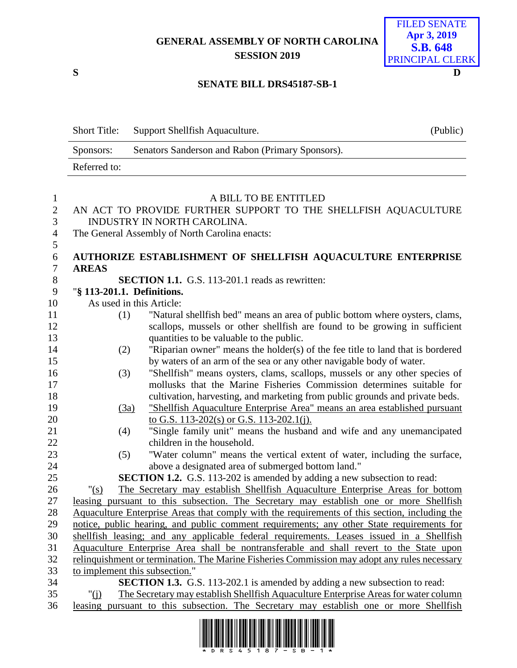## **GENERAL ASSEMBLY OF NORTH CAROLINA SESSION 2019**



## **SENATE BILL DRS45187-SB-1**

| <b>Short Title:</b> | Support Shellfish Aquaculture.                   | (Public) |
|---------------------|--------------------------------------------------|----------|
| Sponsors:           | Senators Sanderson and Rabon (Primary Sponsors). |          |
| Referred to:        |                                                  |          |
|                     |                                                  |          |

| $\mathbf{1}$   |                                                                | A BILL TO BE ENTITLED                                                                         |  |  |  |
|----------------|----------------------------------------------------------------|-----------------------------------------------------------------------------------------------|--|--|--|
| $\sqrt{2}$     | AN ACT TO PROVIDE FURTHER SUPPORT TO THE SHELLFISH AQUACULTURE |                                                                                               |  |  |  |
| 3              | INDUSTRY IN NORTH CAROLINA.                                    |                                                                                               |  |  |  |
| $\overline{4}$ |                                                                | The General Assembly of North Carolina enacts:                                                |  |  |  |
| 5              |                                                                |                                                                                               |  |  |  |
| 6              |                                                                | AUTHORIZE ESTABLISHMENT OF SHELLFISH AQUACULTURE ENTERPRISE                                   |  |  |  |
| $\overline{7}$ | <b>AREAS</b>                                                   |                                                                                               |  |  |  |
| 8              |                                                                | <b>SECTION 1.1.</b> G.S. 113-201.1 reads as rewritten:                                        |  |  |  |
| 9              | "§ 113-201.1. Definitions.                                     |                                                                                               |  |  |  |
| 10             | As used in this Article:                                       |                                                                                               |  |  |  |
| 11             | (1)                                                            | "Natural shellfish bed" means an area of public bottom where oysters, clams,                  |  |  |  |
| 12             |                                                                | scallops, mussels or other shellfish are found to be growing in sufficient                    |  |  |  |
| 13             |                                                                | quantities to be valuable to the public.                                                      |  |  |  |
| 14             | (2)                                                            | "Riparian owner" means the holder(s) of the fee title to land that is bordered                |  |  |  |
| 15             |                                                                | by waters of an arm of the sea or any other navigable body of water.                          |  |  |  |
| 16             | (3)                                                            | "Shellfish" means oysters, clams, scallops, mussels or any other species of                   |  |  |  |
| 17             |                                                                | mollusks that the Marine Fisheries Commission determines suitable for                         |  |  |  |
| 18             |                                                                | cultivation, harvesting, and marketing from public grounds and private beds.                  |  |  |  |
| 19             | (3a)                                                           | "Shellfish Aquaculture Enterprise Area" means an area established pursuant                    |  |  |  |
| 20             |                                                                | to G.S. 113-202(s) or G.S. 113-202.1(j).                                                      |  |  |  |
| 21             | (4)                                                            | "Single family unit" means the husband and wife and any unemancipated                         |  |  |  |
| 22             |                                                                | children in the household.                                                                    |  |  |  |
| 23             | (5)                                                            | "Water column" means the vertical extent of water, including the surface,                     |  |  |  |
| 24             |                                                                | above a designated area of submerged bottom land."                                            |  |  |  |
| 25             |                                                                | <b>SECTION 1.2.</b> G.S. 113-202 is amended by adding a new subsection to read:               |  |  |  |
| 26             | " $(s)$                                                        | The Secretary may establish Shellfish Aquaculture Enterprise Areas for bottom                 |  |  |  |
| 27             |                                                                | leasing pursuant to this subsection. The Secretary may establish one or more Shellfish        |  |  |  |
| 28             |                                                                | Aquaculture Enterprise Areas that comply with the requirements of this section, including the |  |  |  |
| 29             |                                                                | notice, public hearing, and public comment requirements; any other State requirements for     |  |  |  |
| 30             |                                                                | shellfish leasing; and any applicable federal requirements. Leases issued in a Shellfish      |  |  |  |
| 31             |                                                                | Aquaculture Enterprise Area shall be nontransferable and shall revert to the State upon       |  |  |  |
| 32             |                                                                | relinquishment or termination. The Marine Fisheries Commission may adopt any rules necessary  |  |  |  |
| 33             | to implement this subsection."                                 |                                                                                               |  |  |  |
| 34             |                                                                | <b>SECTION 1.3.</b> G.S. 113-202.1 is amended by adding a new subsection to read:             |  |  |  |
| 35             | "(j)                                                           | The Secretary may establish Shellfish Aquaculture Enterprise Areas for water column           |  |  |  |
| 36             |                                                                | leasing pursuant to this subsection. The Secretary may establish one or more Shellfish        |  |  |  |

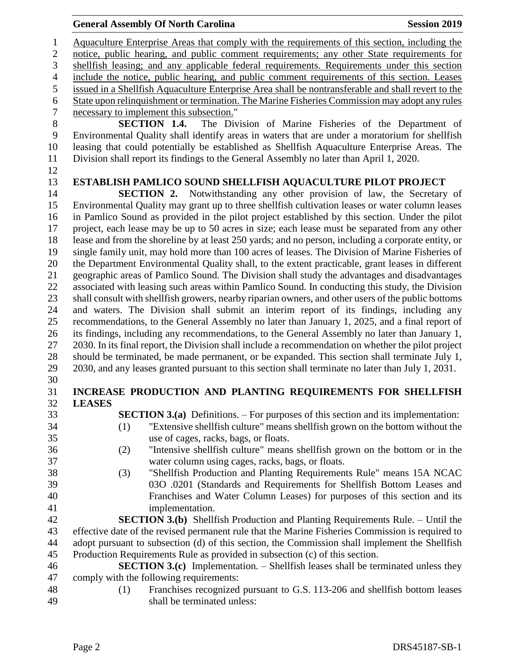| $\mathbf{2}$   | notice, public hearing, and public comment requirements; any other State requirements for            |  |  |  |  |
|----------------|------------------------------------------------------------------------------------------------------|--|--|--|--|
| 3              | shellfish leasing; and any applicable federal requirements. Requirements under this section          |  |  |  |  |
| $\overline{4}$ | include the notice, public hearing, and public comment requirements of this section. Leases          |  |  |  |  |
| 5              | issued in a Shellfish Aquaculture Enterprise Area shall be nontransferable and shall revert to the   |  |  |  |  |
| 6              | State upon relinquishment or termination. The Marine Fisheries Commission may adopt any rules        |  |  |  |  |
| $\tau$         | necessary to implement this subsection."                                                             |  |  |  |  |
| $8\,$          | SECTION 1.4. The Division of Marine Fisheries of the Department of                                   |  |  |  |  |
| $\overline{9}$ | Environmental Quality shall identify areas in waters that are under a moratorium for shellfish       |  |  |  |  |
| 10             | leasing that could potentially be established as Shellfish Aquaculture Enterprise Areas. The         |  |  |  |  |
| 11             | Division shall report its findings to the General Assembly no later than April 1, 2020.              |  |  |  |  |
| 12             |                                                                                                      |  |  |  |  |
| 13             | ESTABLISH PAMLICO SOUND SHELLFISH AQUACULTURE PILOT PROJECT                                          |  |  |  |  |
| 14             | <b>SECTION 2.</b> Notwithstanding any other provision of law, the Secretary of                       |  |  |  |  |
| 15             | Environmental Quality may grant up to three shellfish cultivation leases or water column leases      |  |  |  |  |
| 16             | in Pamlico Sound as provided in the pilot project established by this section. Under the pilot       |  |  |  |  |
| 17             | project, each lease may be up to 50 acres in size; each lease must be separated from any other       |  |  |  |  |
| 18             | lease and from the shoreline by at least 250 yards; and no person, including a corporate entity, or  |  |  |  |  |
| 19             | single family unit, may hold more than 100 acres of leases. The Division of Marine Fisheries of      |  |  |  |  |
| 20             | the Department Environmental Quality shall, to the extent practicable, grant leases in different     |  |  |  |  |
| 21             | geographic areas of Pamlico Sound. The Division shall study the advantages and disadvantages         |  |  |  |  |
| 22             | associated with leasing such areas within Pamlico Sound. In conducting this study, the Division      |  |  |  |  |
| 23             | shall consult with shell fish growers, nearby riparian owners, and other users of the public bottoms |  |  |  |  |
| 24             | and waters. The Division shall submit an interim report of its findings, including any               |  |  |  |  |
| 25             | recommendations, to the General Assembly no later than January 1, 2025, and a final report of        |  |  |  |  |
| 26             | its findings, including any recommendations, to the General Assembly no later than January 1,        |  |  |  |  |
| 27             | 2030. In its final report, the Division shall include a recommendation on whether the pilot project  |  |  |  |  |
| 28             | should be terminated, be made permanent, or be expanded. This section shall terminate July 1,        |  |  |  |  |
| 29             | 2030, and any leases granted pursuant to this section shall terminate no later than July 1, 2031.    |  |  |  |  |
| 30             |                                                                                                      |  |  |  |  |
| 31             | INCREASE PRODUCTION AND PLANTING REQUIREMENTS FOR SHELLFISH                                          |  |  |  |  |
| 32             | <b>LEASES</b>                                                                                        |  |  |  |  |
| 33             | <b>SECTION 3.(a)</b> Definitions. – For purposes of this section and its implementation:             |  |  |  |  |
| 34             | "Extensive shellfish culture" means shellfish grown on the bottom without the<br>(1)                 |  |  |  |  |
| 35             | use of cages, racks, bags, or floats.                                                                |  |  |  |  |
| 36             | "Intensive shellfish culture" means shellfish grown on the bottom or in the<br>(2)                   |  |  |  |  |
| 37             | water column using cages, racks, bags, or floats.                                                    |  |  |  |  |
| 38             | "Shellfish Production and Planting Requirements Rule" means 15A NCAC<br>(3)                          |  |  |  |  |
| 39             | 03O .0201 (Standards and Requirements for Shellfish Bottom Leases and                                |  |  |  |  |
| 40             | Franchises and Water Column Leases) for purposes of this section and its                             |  |  |  |  |
| 41             | implementation.                                                                                      |  |  |  |  |
| 42             | <b>SECTION 3.(b)</b> Shellfish Production and Planting Requirements Rule. – Until the                |  |  |  |  |
| 43             | effective date of the revised permanent rule that the Marine Fisheries Commission is required to     |  |  |  |  |
| 44             | adopt pursuant to subsection (d) of this section, the Commission shall implement the Shellfish       |  |  |  |  |
| 45             | Production Requirements Rule as provided in subsection (c) of this section.                          |  |  |  |  |
| 46             | <b>SECTION 3.(c)</b> Implementation. – Shellfish leases shall be terminated unless they              |  |  |  |  |
| 47             | comply with the following requirements:                                                              |  |  |  |  |
| 48             | Franchises recognized pursuant to G.S. 113-206 and shellfish bottom leases<br>(1)                    |  |  |  |  |
| 49             | shall be terminated unless:                                                                          |  |  |  |  |
|                |                                                                                                      |  |  |  |  |
|                |                                                                                                      |  |  |  |  |

## Aquaculture Enterprise Areas that comply with the requirements of this section, including the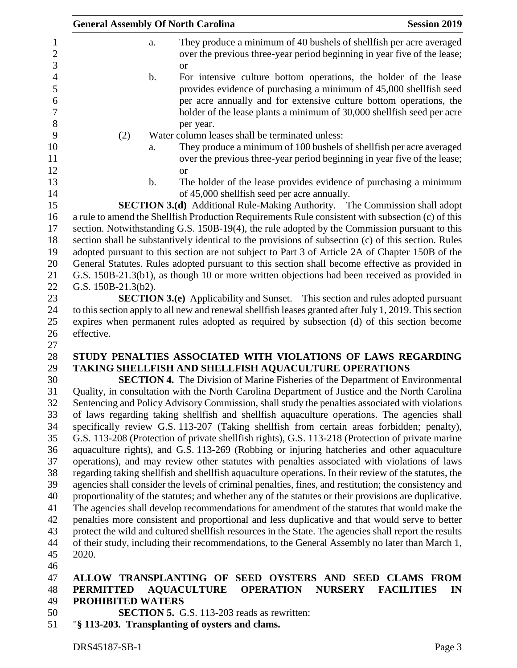| <b>General Assembly Of North Carolina</b> |    |                                                                                                                                                                                                                                                                                                                                                                                                                                                                                                                                                                                                                                                                                                       | <b>Session 2019</b>                                                                                                                              |
|-------------------------------------------|----|-------------------------------------------------------------------------------------------------------------------------------------------------------------------------------------------------------------------------------------------------------------------------------------------------------------------------------------------------------------------------------------------------------------------------------------------------------------------------------------------------------------------------------------------------------------------------------------------------------------------------------------------------------------------------------------------------------|--------------------------------------------------------------------------------------------------------------------------------------------------|
|                                           | a. | <sub>or</sub>                                                                                                                                                                                                                                                                                                                                                                                                                                                                                                                                                                                                                                                                                         | They produce a minimum of 40 bushels of shellfish per acre averaged<br>over the previous three-year period beginning in year five of the lease;  |
|                                           | b. | For intensive culture bottom operations, the holder of the lease<br>per acre annually and for extensive culture bottom operations, the<br>per year.                                                                                                                                                                                                                                                                                                                                                                                                                                                                                                                                                   | provides evidence of purchasing a minimum of 45,000 shellfish seed<br>holder of the lease plants a minimum of 30,000 shellfish seed per acre     |
| (2)                                       |    | Water column leases shall be terminated unless:                                                                                                                                                                                                                                                                                                                                                                                                                                                                                                                                                                                                                                                       |                                                                                                                                                  |
|                                           | a. | <sub>or</sub>                                                                                                                                                                                                                                                                                                                                                                                                                                                                                                                                                                                                                                                                                         | They produce a minimum of 100 bushels of shellfish per acre averaged<br>over the previous three-year period beginning in year five of the lease; |
|                                           | b. | The holder of the lease provides evidence of purchasing a minimum<br>of 45,000 shellfish seed per acre annually.                                                                                                                                                                                                                                                                                                                                                                                                                                                                                                                                                                                      |                                                                                                                                                  |
|                                           |    | <b>SECTION 3.(d)</b> Additional Rule-Making Authority. – The Commission shall adopt<br>a rule to amend the Shellfish Production Requirements Rule consistent with subsection (c) of this<br>section. Notwithstanding G.S. 150B-19(4), the rule adopted by the Commission pursuant to this<br>section shall be substantively identical to the provisions of subsection (c) of this section. Rules<br>adopted pursuant to this section are not subject to Part 3 of Article 2A of Chapter 150B of the<br>General Statutes. Rules adopted pursuant to this section shall become effective as provided in<br>G.S. 150B-21.3(b1), as though 10 or more written objections had been received as provided in |                                                                                                                                                  |
| G.S. $150B-21.3(b2)$ .                    |    |                                                                                                                                                                                                                                                                                                                                                                                                                                                                                                                                                                                                                                                                                                       |                                                                                                                                                  |
|                                           |    | <b>SECTION 3.(e)</b> Applicability and Sunset. – This section and rules adopted pursuant                                                                                                                                                                                                                                                                                                                                                                                                                                                                                                                                                                                                              |                                                                                                                                                  |
|                                           |    | to this section apply to all new and renewal shell fish leases granted after July 1, 2019. This section<br>expires when permanent rules adopted as required by subsection (d) of this section become                                                                                                                                                                                                                                                                                                                                                                                                                                                                                                  |                                                                                                                                                  |
| effective.                                |    |                                                                                                                                                                                                                                                                                                                                                                                                                                                                                                                                                                                                                                                                                                       |                                                                                                                                                  |
|                                           |    |                                                                                                                                                                                                                                                                                                                                                                                                                                                                                                                                                                                                                                                                                                       |                                                                                                                                                  |
|                                           |    | STUDY PENALTIES ASSOCIATED WITH VIOLATIONS OF LAWS REGARDING                                                                                                                                                                                                                                                                                                                                                                                                                                                                                                                                                                                                                                          |                                                                                                                                                  |
|                                           |    | TAKING SHELLFISH AND SHELLFISH AQUACULTURE OPERATIONS<br><b>SECTION 4.</b> The Division of Marine Fisheries of the Department of Environmental                                                                                                                                                                                                                                                                                                                                                                                                                                                                                                                                                        |                                                                                                                                                  |
|                                           |    | Quality, in consultation with the North Carolina Department of Justice and the North Carolina<br>Sentencing and Policy Advisory Commission, shall study the penalties associated with violations                                                                                                                                                                                                                                                                                                                                                                                                                                                                                                      |                                                                                                                                                  |
|                                           |    | of laws regarding taking shellfish and shellfish aquaculture operations. The agencies shall                                                                                                                                                                                                                                                                                                                                                                                                                                                                                                                                                                                                           |                                                                                                                                                  |
|                                           |    | specifically review G.S. 113-207 (Taking shellfish from certain areas forbidden; penalty),                                                                                                                                                                                                                                                                                                                                                                                                                                                                                                                                                                                                            |                                                                                                                                                  |
|                                           |    | G.S. 113-208 (Protection of private shellfish rights), G.S. 113-218 (Protection of private marine<br>aquaculture rights), and G.S. 113-269 (Robbing or injuring hatcheries and other aquaculture                                                                                                                                                                                                                                                                                                                                                                                                                                                                                                      |                                                                                                                                                  |
|                                           |    | operations), and may review other statutes with penalties associated with violations of laws                                                                                                                                                                                                                                                                                                                                                                                                                                                                                                                                                                                                          |                                                                                                                                                  |
|                                           |    | regarding taking shellfish and shellfish aquaculture operations. In their review of the statutes, the                                                                                                                                                                                                                                                                                                                                                                                                                                                                                                                                                                                                 |                                                                                                                                                  |
|                                           |    | agencies shall consider the levels of criminal penalties, fines, and restitution; the consistency and                                                                                                                                                                                                                                                                                                                                                                                                                                                                                                                                                                                                 |                                                                                                                                                  |
|                                           |    | proportionality of the statutes; and whether any of the statutes or their provisions are duplicative.                                                                                                                                                                                                                                                                                                                                                                                                                                                                                                                                                                                                 |                                                                                                                                                  |
|                                           |    | The agencies shall develop recommendations for amendment of the statutes that would make the                                                                                                                                                                                                                                                                                                                                                                                                                                                                                                                                                                                                          |                                                                                                                                                  |
|                                           |    | penalties more consistent and proportional and less duplicative and that would serve to better                                                                                                                                                                                                                                                                                                                                                                                                                                                                                                                                                                                                        |                                                                                                                                                  |
|                                           |    | protect the wild and cultured shellfish resources in the State. The agencies shall report the results                                                                                                                                                                                                                                                                                                                                                                                                                                                                                                                                                                                                 |                                                                                                                                                  |
|                                           |    | of their study, including their recommendations, to the General Assembly no later than March 1,                                                                                                                                                                                                                                                                                                                                                                                                                                                                                                                                                                                                       |                                                                                                                                                  |
| 2020.                                     |    |                                                                                                                                                                                                                                                                                                                                                                                                                                                                                                                                                                                                                                                                                                       |                                                                                                                                                  |
|                                           |    |                                                                                                                                                                                                                                                                                                                                                                                                                                                                                                                                                                                                                                                                                                       |                                                                                                                                                  |
|                                           |    | ALLOW TRANSPLANTING OF SEED OYSTERS AND SEED CLAMS FROM                                                                                                                                                                                                                                                                                                                                                                                                                                                                                                                                                                                                                                               |                                                                                                                                                  |
| <b>PERMITTED</b>                          |    | <b>AQUACULTURE</b><br><b>OPERATION</b>                                                                                                                                                                                                                                                                                                                                                                                                                                                                                                                                                                                                                                                                | <b>NURSERY</b><br><b>FACILITIES</b><br>IN                                                                                                        |
| PROHIBITED WATERS                         |    |                                                                                                                                                                                                                                                                                                                                                                                                                                                                                                                                                                                                                                                                                                       |                                                                                                                                                  |

- **SECTION 5.** G.S. 113-203 reads as rewritten:
- "**§ 113-203. Transplanting of oysters and clams.**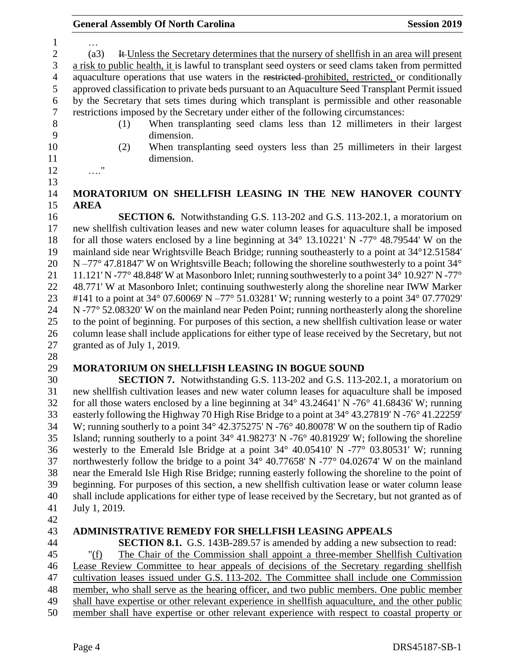… (a3) It Unless the Secretary determines that the nursery of shellfish in an area will present a risk to public health, it is lawful to transplant seed oysters or seed clams taken from permitted 4 aquaculture operations that use waters in the restricted-prohibited, restricted, or conditionally approved classification to private beds pursuant to an Aquaculture Seed Transplant Permit issued by the Secretary that sets times during which transplant is permissible and other reasonable restrictions imposed by the Secretary under either of the following circumstances: (1) When transplanting seed clams less than 12 millimeters in their largest dimension. (2) When transplanting seed oysters less than 25 millimeters in their largest dimension. …." **MORATORIUM ON SHELLFISH LEASING IN THE NEW HANOVER COUNTY AREA SECTION 6.** Notwithstanding G.S. 113-202 and G.S. 113-202.1, a moratorium on new shellfish cultivation leases and new water column leases for aquaculture shall be imposed for all those waters enclosed by a line beginning at 34° 13.10221' N -77° 48.79544' W on the mainland side near Wrightsville Beach Bridge; running southeasterly to a point at 34°12.51584' 20 N –77° 47.81847' W on Wrightsville Beach; following the shoreline southwesterly to a point  $34^{\circ}$  11.121' N -77° 48.848' W at Masonboro Inlet; running southwesterly to a point 34° 10.927' N -77° 48.771' W at Masonboro Inlet; continuing southwesterly along the shoreline near IWW Marker #141 to a point at 34° 07.60069' N –77° 51.03281' W; running westerly to a point 34° 07.77029' N -77° 52.08320' W on the mainland near Peden Point; running northeasterly along the shoreline to the point of beginning. For purposes of this section, a new shellfish cultivation lease or water column lease shall include applications for either type of lease received by the Secretary, but not granted as of July 1, 2019. **MORATORIUM ON SHELLFISH LEASING IN BOGUE SOUND SECTION 7.** Notwithstanding G.S. 113-202 and G.S. 113-202.1, a moratorium on new shellfish cultivation leases and new water column leases for aquaculture shall be imposed for all those waters enclosed by a line beginning at 34° 43.24641' N -76° 41.68436' W; running easterly following the Highway 70 High Rise Bridge to a point at 34° 43.27819' N -76° 41.22259'

W; running southerly to a point 34° 42.375275' N -76° 40.80078' W on the southern tip of Radio

 Island; running southerly to a point 34° 41.98273' N -76° 40.81929' W; following the shoreline westerly to the Emerald Isle Bridge at a point 34° 40.05410' N -77° 03.80531' W; running northwesterly follow the bridge to a point 34° 40.77658' N -77° 04.02674' W on the mainland near the Emerald Isle High Rise Bridge; running easterly following the shoreline to the point of beginning. For purposes of this section, a new shellfish cultivation lease or water column lease shall include applications for either type of lease received by the Secretary, but not granted as of July 1, 2019.

## **ADMINISTRATIVE REMEDY FOR SHELLFISH LEASING APPEALS**

**SECTION 8.1.** G.S. 143B-289.57 is amended by adding a new subsection to read:

 "(f) The Chair of the Commission shall appoint a three-member Shellfish Cultivation Lease Review Committee to hear appeals of decisions of the Secretary regarding shellfish cultivation leases issued under G.S. 113-202. The Committee shall include one Commission member, who shall serve as the hearing officer, and two public members. One public member shall have expertise or other relevant experience in shellfish aquaculture, and the other public member shall have expertise or other relevant experience with respect to coastal property or